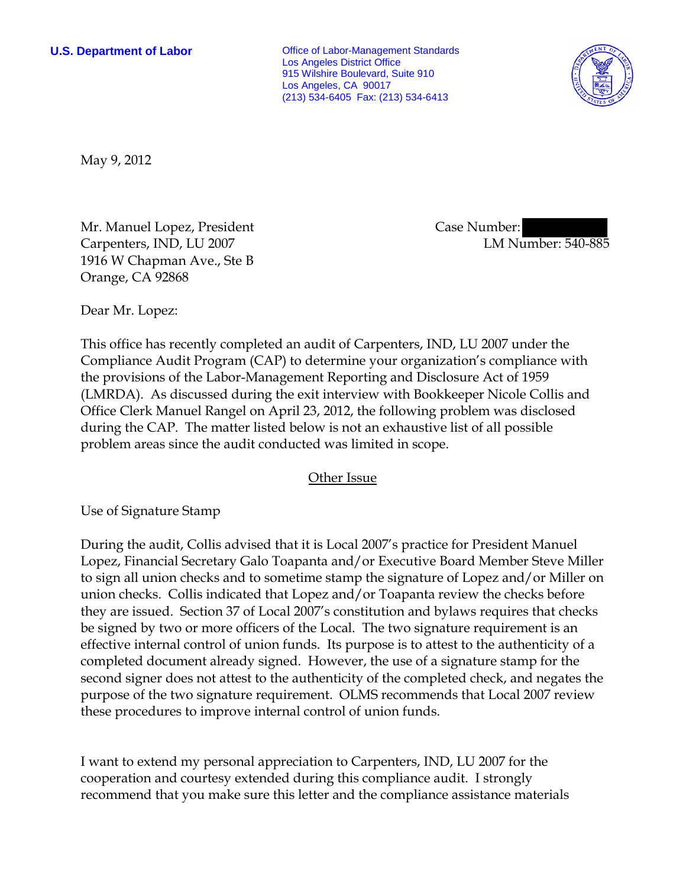**U.S. Department of Labor** Office of Labor-Management Standards Los Angeles District Office 915 Wilshire Boulevard, Suite 910 Los Angeles, CA 90017 (213) 534-6405 Fax: (213) 534-6413



May 9, 2012

Mr. Manuel Lopez, President Carpenters, IND, LU 2007 1916 W Chapman Ave., Ste B Orange, CA 92868

 Case Number: LM Number: 540-885

Dear Mr. Lopez:

This office has recently completed an audit of Carpenters, IND, LU 2007 under the Compliance Audit Program (CAP) to determine your organization's compliance with the provisions of the Labor-Management Reporting and Disclosure Act of 1959 (LMRDA). As discussed during the exit interview with Bookkeeper Nicole Collis and Office Clerk Manuel Rangel on April 23, 2012, the following problem was disclosed during the CAP. The matter listed below is not an exhaustive list of all possible problem areas since the audit conducted was limited in scope.

## Other Issue

Use of Signature Stamp

During the audit, Collis advised that it is Local 2007's practice for President Manuel Lopez, Financial Secretary Galo Toapanta and/or Executive Board Member Steve Miller to sign all union checks and to sometime stamp the signature of Lopez and/or Miller on union checks. Collis indicated that Lopez and/or Toapanta review the checks before they are issued. Section 37 of Local 2007's constitution and bylaws requires that checks be signed by two or more officers of the Local. The two signature requirement is an effective internal control of union funds. Its purpose is to attest to the authenticity of a completed document already signed. However, the use of a signature stamp for the second signer does not attest to the authenticity of the completed check, and negates the purpose of the two signature requirement. OLMS recommends that Local 2007 review these procedures to improve internal control of union funds.

I want to extend my personal appreciation to Carpenters, IND, LU 2007 for the cooperation and courtesy extended during this compliance audit. I strongly recommend that you make sure this letter and the compliance assistance materials